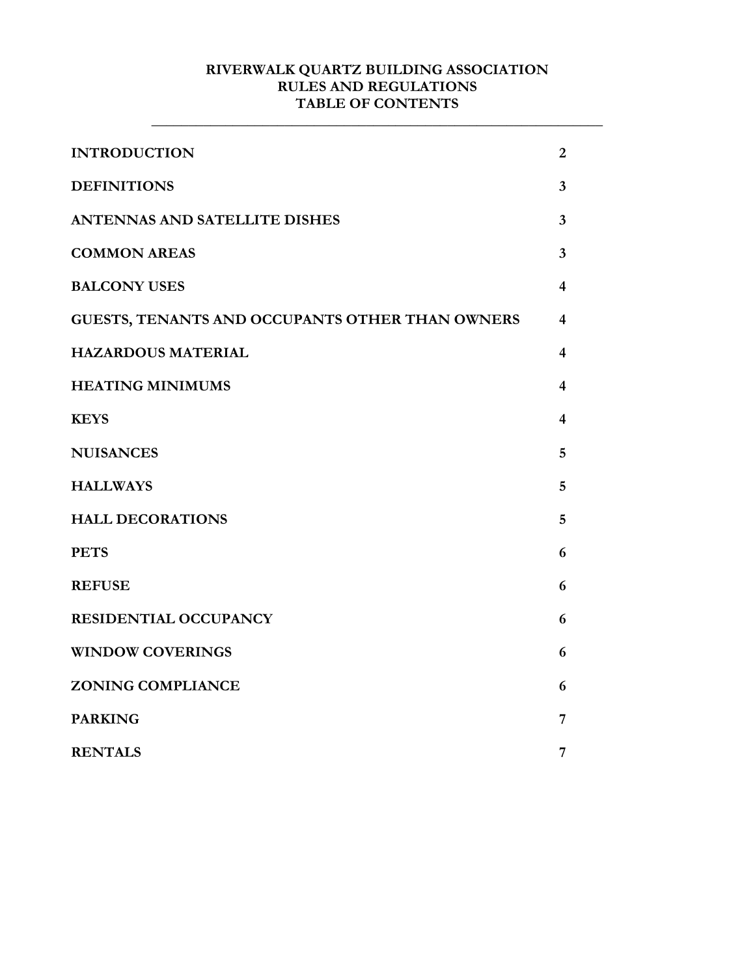#### **RIVERWALK QUARTZ BUILDING ASSOCIATION RULES AND REGULATIONS TABLE OF CONTENTS**

**\_\_\_\_\_\_\_\_\_\_\_\_\_\_\_\_\_\_\_\_\_\_\_\_\_\_\_\_\_\_\_\_\_\_\_\_\_\_\_\_\_\_\_\_\_\_\_\_\_\_\_\_\_\_\_\_\_\_\_\_\_**

| <b>INTRODUCTION</b>                             | $\overline{2}$          |
|-------------------------------------------------|-------------------------|
| <b>DEFINITIONS</b>                              | $\overline{\mathbf{3}}$ |
| <b>ANTENNAS AND SATELLITE DISHES</b>            | $\overline{3}$          |
| <b>COMMON AREAS</b>                             | $\overline{3}$          |
| <b>BALCONY USES</b>                             | $\overline{\mathbf{4}}$ |
| GUESTS, TENANTS AND OCCUPANTS OTHER THAN OWNERS | $\overline{\mathbf{4}}$ |
| <b>HAZARDOUS MATERIAL</b>                       | 4                       |
| <b>HEATING MINIMUMS</b>                         | 4                       |
| <b>KEYS</b>                                     | $\overline{\mathbf{4}}$ |
| <b>NUISANCES</b>                                | 5                       |
| <b>HALLWAYS</b>                                 | 5                       |
| <b>HALL DECORATIONS</b>                         | 5                       |
| <b>PETS</b>                                     | 6                       |
| <b>REFUSE</b>                                   | 6                       |
| RESIDENTIAL OCCUPANCY                           | 6                       |
| <b>WINDOW COVERINGS</b>                         | 6                       |
| <b>ZONING COMPLIANCE</b>                        | 6                       |
| <b>PARKING</b>                                  | 7                       |
| <b>RENTALS</b>                                  | 7                       |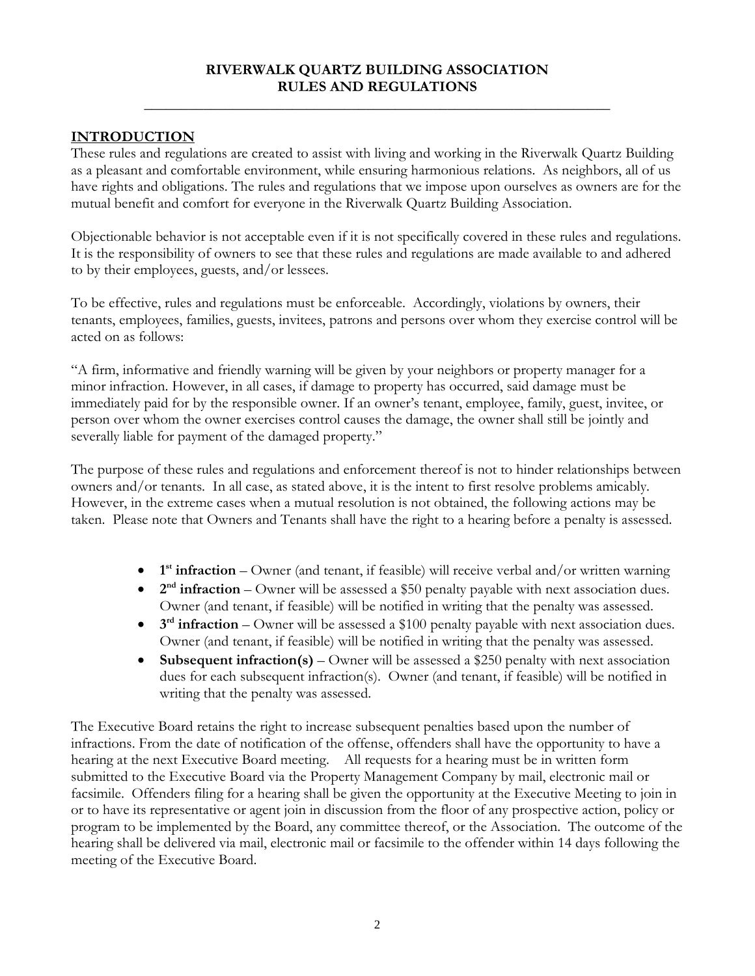#### **RIVERWALK QUARTZ BUILDING ASSOCIATION RULES AND REGULATIONS**

**\_\_\_\_\_\_\_\_\_\_\_\_\_\_\_\_\_\_\_\_\_\_\_\_\_\_\_\_\_\_\_\_\_\_\_\_\_\_\_\_\_\_\_\_\_\_\_\_\_\_\_\_\_\_\_\_\_\_\_\_\_\_\_**

### **INTRODUCTION**

These rules and regulations are created to assist with living and working in the Riverwalk Quartz Building as a pleasant and comfortable environment, while ensuring harmonious relations. As neighbors, all of us have rights and obligations. The rules and regulations that we impose upon ourselves as owners are for the mutual benefit and comfort for everyone in the Riverwalk Quartz Building Association.

Objectionable behavior is not acceptable even if it is not specifically covered in these rules and regulations. It is the responsibility of owners to see that these rules and regulations are made available to and adhered to by their employees, guests, and/or lessees.

To be effective, rules and regulations must be enforceable. Accordingly, violations by owners, their tenants, employees, families, guests, invitees, patrons and persons over whom they exercise control will be acted on as follows:

"A firm, informative and friendly warning will be given by your neighbors or property manager for a minor infraction. However, in all cases, if damage to property has occurred, said damage must be immediately paid for by the responsible owner. If an owner's tenant, employee, family, guest, invitee, or person over whom the owner exercises control causes the damage, the owner shall still be jointly and severally liable for payment of the damaged property."

The purpose of these rules and regulations and enforcement thereof is not to hinder relationships between owners and/or tenants. In all case, as stated above, it is the intent to first resolve problems amicably. However, in the extreme cases when a mutual resolution is not obtained, the following actions may be taken. Please note that Owners and Tenants shall have the right to a hearing before a penalty is assessed.

- **1**<sup>st</sup> **infraction** Owner (and tenant, if feasible) will receive verbal and/or written warning
- **2<sup>nd</sup> infraction** Owner will be assessed a \$50 penalty payable with next association dues. Owner (and tenant, if feasible) will be notified in writing that the penalty was assessed.
- **3<sup>rd</sup> infraction** Owner will be assessed a \$100 penalty payable with next association dues. Owner (and tenant, if feasible) will be notified in writing that the penalty was assessed.
- Subsequent infraction(s) Owner will be assessed a \$250 penalty with next association dues for each subsequent infraction(s). Owner (and tenant, if feasible) will be notified in writing that the penalty was assessed.

The Executive Board retains the right to increase subsequent penalties based upon the number of infractions. From the date of notification of the offense, offenders shall have the opportunity to have a hearing at the next Executive Board meeting. All requests for a hearing must be in written form submitted to the Executive Board via the Property Management Company by mail, electronic mail or facsimile. Offenders filing for a hearing shall be given the opportunity at the Executive Meeting to join in or to have its representative or agent join in discussion from the floor of any prospective action, policy or program to be implemented by the Board, any committee thereof, or the Association. The outcome of the hearing shall be delivered via mail, electronic mail or facsimile to the offender within 14 days following the meeting of the Executive Board.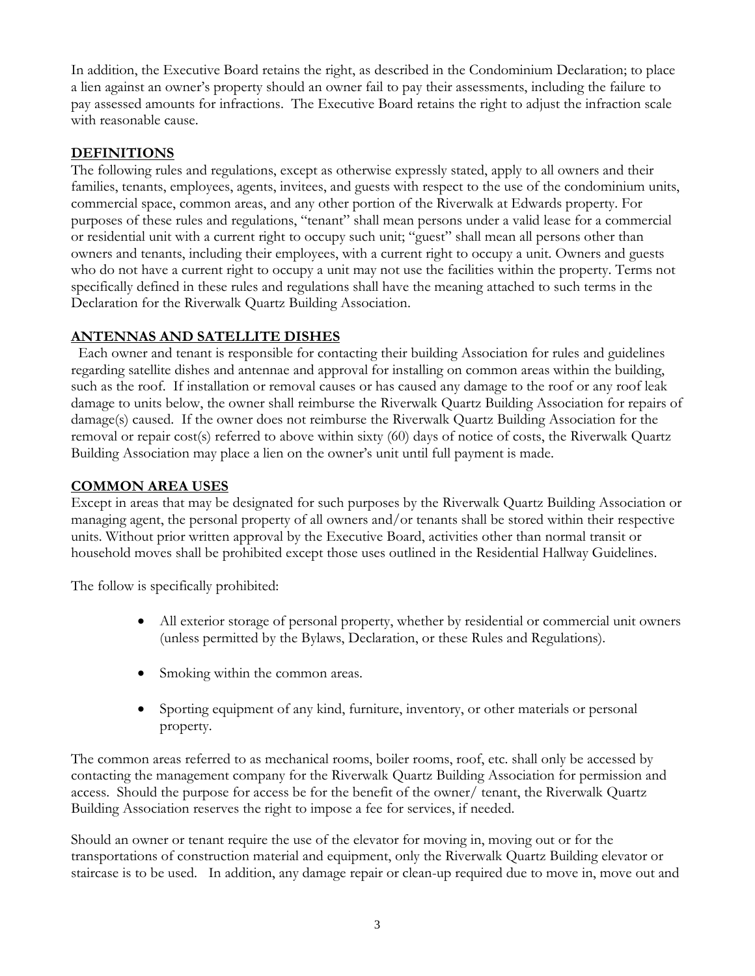In addition, the Executive Board retains the right, as described in the Condominium Declaration; to place a lien against an owner's property should an owner fail to pay their assessments, including the failure to pay assessed amounts for infractions. The Executive Board retains the right to adjust the infraction scale with reasonable cause.

#### **DEFINITIONS**

The following rules and regulations, except as otherwise expressly stated, apply to all owners and their families, tenants, employees, agents, invitees, and guests with respect to the use of the condominium units, commercial space, common areas, and any other portion of the Riverwalk at Edwards property. For purposes of these rules and regulations, "tenant" shall mean persons under a valid lease for a commercial or residential unit with a current right to occupy such unit; "guest" shall mean all persons other than owners and tenants, including their employees, with a current right to occupy a unit. Owners and guests who do not have a current right to occupy a unit may not use the facilities within the property. Terms not specifically defined in these rules and regulations shall have the meaning attached to such terms in the Declaration for the Riverwalk Quartz Building Association.

#### **ANTENNAS AND SATELLITE DISHES**

 Each owner and tenant is responsible for contacting their building Association for rules and guidelines regarding satellite dishes and antennae and approval for installing on common areas within the building, such as the roof. If installation or removal causes or has caused any damage to the roof or any roof leak damage to units below, the owner shall reimburse the Riverwalk Quartz Building Association for repairs of damage(s) caused. If the owner does not reimburse the Riverwalk Quartz Building Association for the removal or repair cost(s) referred to above within sixty (60) days of notice of costs, the Riverwalk Quartz Building Association may place a lien on the owner's unit until full payment is made.

#### **COMMON AREA USES**

Except in areas that may be designated for such purposes by the Riverwalk Quartz Building Association or managing agent, the personal property of all owners and/or tenants shall be stored within their respective units. Without prior written approval by the Executive Board, activities other than normal transit or household moves shall be prohibited except those uses outlined in the Residential Hallway Guidelines.

The follow is specifically prohibited:

- All exterior storage of personal property, whether by residential or commercial unit owners (unless permitted by the Bylaws, Declaration, or these Rules and Regulations).
- Smoking within the common areas.
- Sporting equipment of any kind, furniture, inventory, or other materials or personal property.

The common areas referred to as mechanical rooms, boiler rooms, roof, etc. shall only be accessed by contacting the management company for the Riverwalk Quartz Building Association for permission and access. Should the purpose for access be for the benefit of the owner/ tenant, the Riverwalk Quartz Building Association reserves the right to impose a fee for services, if needed.

Should an owner or tenant require the use of the elevator for moving in, moving out or for the transportations of construction material and equipment, only the Riverwalk Quartz Building elevator or staircase is to be used. In addition, any damage repair or clean-up required due to move in, move out and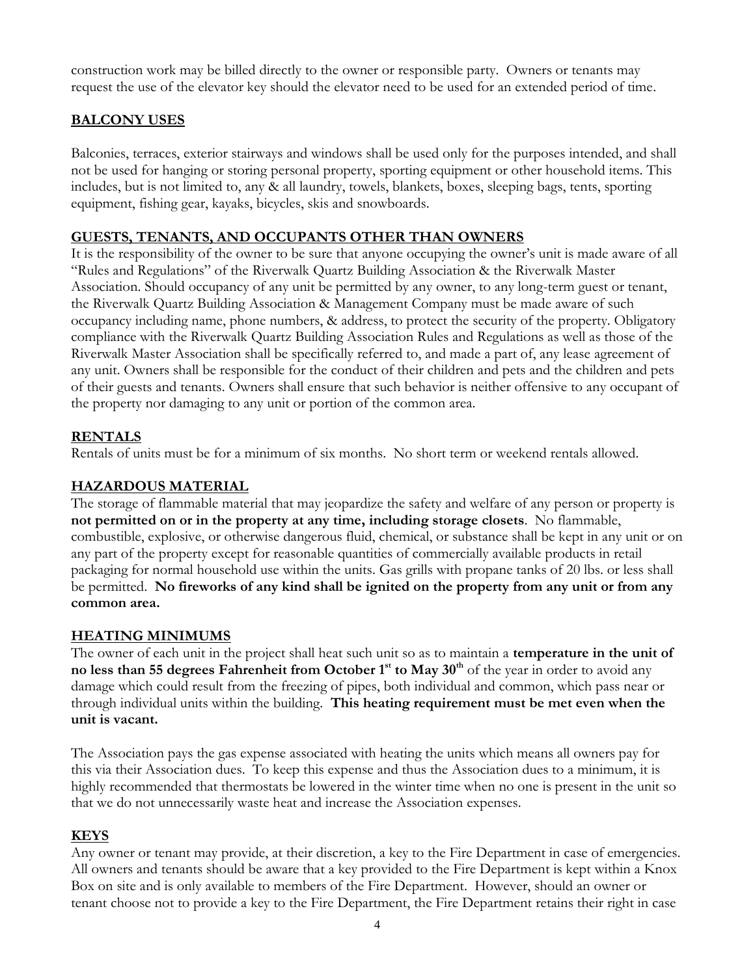construction work may be billed directly to the owner or responsible party. Owners or tenants may request the use of the elevator key should the elevator need to be used for an extended period of time.

# **BALCONY USES**

Balconies, terraces, exterior stairways and windows shall be used only for the purposes intended, and shall not be used for hanging or storing personal property, sporting equipment or other household items. This includes, but is not limited to, any & all laundry, towels, blankets, boxes, sleeping bags, tents, sporting equipment, fishing gear, kayaks, bicycles, skis and snowboards.

# **GUESTS, TENANTS, AND OCCUPANTS OTHER THAN OWNERS**

It is the responsibility of the owner to be sure that anyone occupying the owner's unit is made aware of all "Rules and Regulations" of the Riverwalk Quartz Building Association & the Riverwalk Master Association. Should occupancy of any unit be permitted by any owner, to any long-term guest or tenant, the Riverwalk Quartz Building Association & Management Company must be made aware of such occupancy including name, phone numbers, & address, to protect the security of the property. Obligatory compliance with the Riverwalk Quartz Building Association Rules and Regulations as well as those of the Riverwalk Master Association shall be specifically referred to, and made a part of, any lease agreement of any unit. Owners shall be responsible for the conduct of their children and pets and the children and pets of their guests and tenants. Owners shall ensure that such behavior is neither offensive to any occupant of the property nor damaging to any unit or portion of the common area.

### **RENTALS**

Rentals of units must be for a minimum of six months. No short term or weekend rentals allowed.

#### **HAZARDOUS MATERIAL**

The storage of flammable material that may jeopardize the safety and welfare of any person or property is **not permitted on or in the property at any time, including storage closets**. No flammable, combustible, explosive, or otherwise dangerous fluid, chemical, or substance shall be kept in any unit or on any part of the property except for reasonable quantities of commercially available products in retail packaging for normal household use within the units. Gas grills with propane tanks of 20 lbs. or less shall be permitted. **No fireworks of any kind shall be ignited on the property from any unit or from any common area.**

#### **HEATING MINIMUMS**

The owner of each unit in the project shall heat such unit so as to maintain a **temperature in the unit of no less than 55 degrees Fahrenheit from October 1st to May 30th** of the year in order to avoid any damage which could result from the freezing of pipes, both individual and common, which pass near or through individual units within the building. **This heating requirement must be met even when the unit is vacant.** 

The Association pays the gas expense associated with heating the units which means all owners pay for this via their Association dues. To keep this expense and thus the Association dues to a minimum, it is highly recommended that thermostats be lowered in the winter time when no one is present in the unit so that we do not unnecessarily waste heat and increase the Association expenses.

### **KEYS**

Any owner or tenant may provide, at their discretion, a key to the Fire Department in case of emergencies. All owners and tenants should be aware that a key provided to the Fire Department is kept within a Knox Box on site and is only available to members of the Fire Department. However, should an owner or tenant choose not to provide a key to the Fire Department, the Fire Department retains their right in case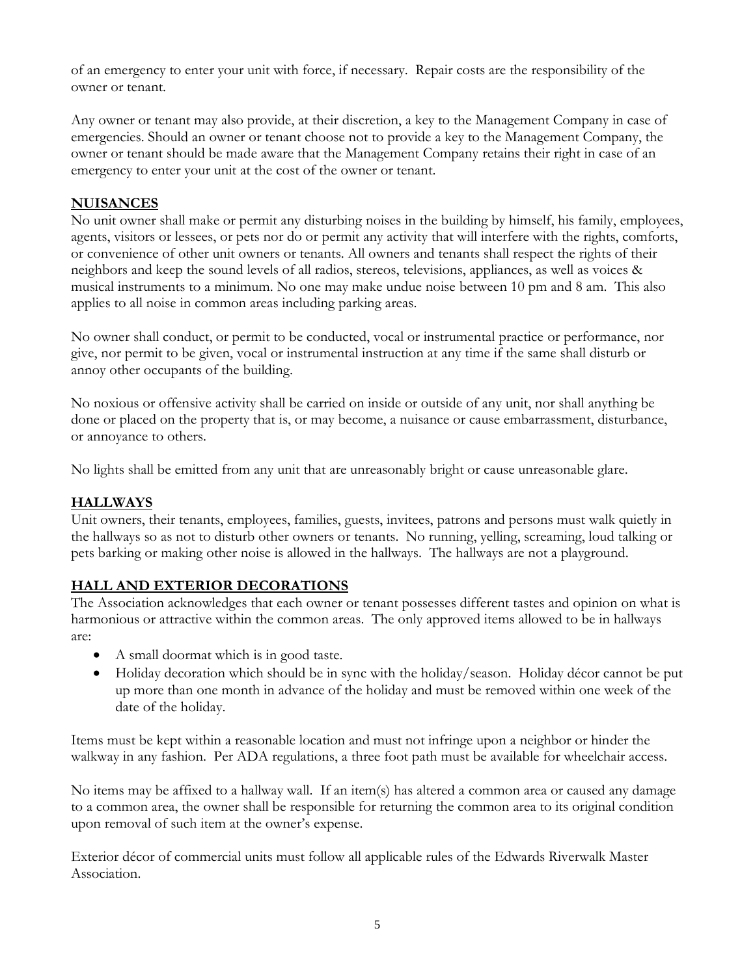of an emergency to enter your unit with force, if necessary. Repair costs are the responsibility of the owner or tenant.

Any owner or tenant may also provide, at their discretion, a key to the Management Company in case of emergencies. Should an owner or tenant choose not to provide a key to the Management Company, the owner or tenant should be made aware that the Management Company retains their right in case of an emergency to enter your unit at the cost of the owner or tenant.

#### **NUISANCES**

No unit owner shall make or permit any disturbing noises in the building by himself, his family, employees, agents, visitors or lessees, or pets nor do or permit any activity that will interfere with the rights, comforts, or convenience of other unit owners or tenants. All owners and tenants shall respect the rights of their neighbors and keep the sound levels of all radios, stereos, televisions, appliances, as well as voices & musical instruments to a minimum. No one may make undue noise between 10 pm and 8 am. This also applies to all noise in common areas including parking areas.

No owner shall conduct, or permit to be conducted, vocal or instrumental practice or performance, nor give, nor permit to be given, vocal or instrumental instruction at any time if the same shall disturb or annoy other occupants of the building.

No noxious or offensive activity shall be carried on inside or outside of any unit, nor shall anything be done or placed on the property that is, or may become, a nuisance or cause embarrassment, disturbance, or annoyance to others.

No lights shall be emitted from any unit that are unreasonably bright or cause unreasonable glare.

#### **HALLWAYS**

Unit owners, their tenants, employees, families, guests, invitees, patrons and persons must walk quietly in the hallways so as not to disturb other owners or tenants. No running, yelling, screaming, loud talking or pets barking or making other noise is allowed in the hallways. The hallways are not a playground.

### **HALL AND EXTERIOR DECORATIONS**

The Association acknowledges that each owner or tenant possesses different tastes and opinion on what is harmonious or attractive within the common areas. The only approved items allowed to be in hallways are:

- A small doormat which is in good taste.
- Holiday decoration which should be in sync with the holiday/season. Holiday décor cannot be put up more than one month in advance of the holiday and must be removed within one week of the date of the holiday.

Items must be kept within a reasonable location and must not infringe upon a neighbor or hinder the walkway in any fashion. Per ADA regulations, a three foot path must be available for wheelchair access.

No items may be affixed to a hallway wall. If an item(s) has altered a common area or caused any damage to a common area, the owner shall be responsible for returning the common area to its original condition upon removal of such item at the owner's expense.

Exterior décor of commercial units must follow all applicable rules of the Edwards Riverwalk Master Association.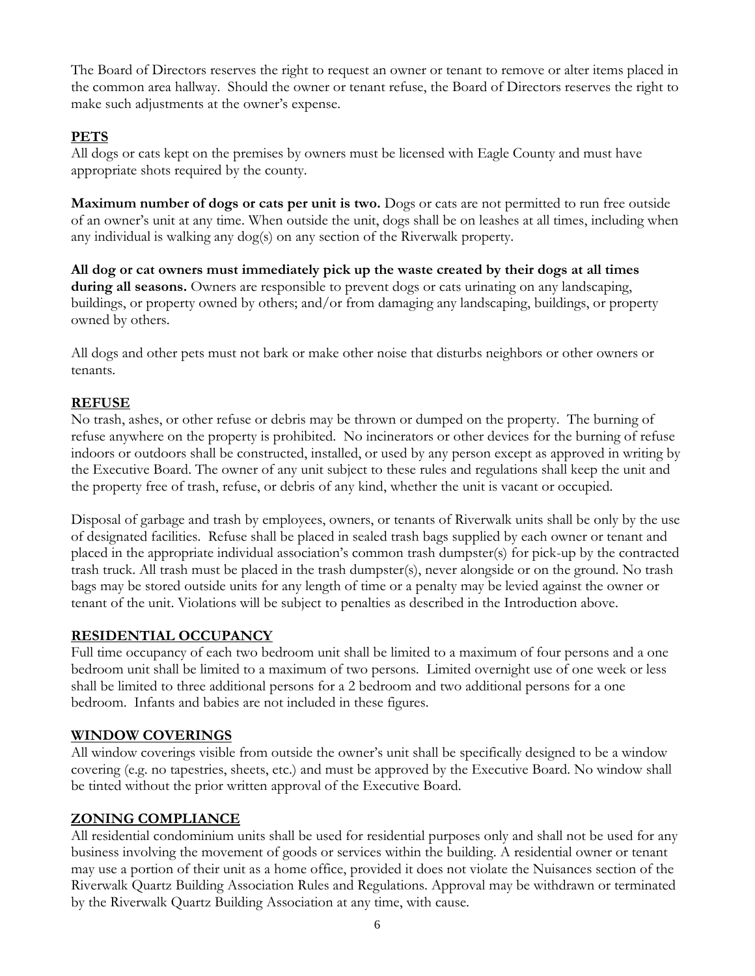The Board of Directors reserves the right to request an owner or tenant to remove or alter items placed in the common area hallway. Should the owner or tenant refuse, the Board of Directors reserves the right to make such adjustments at the owner's expense.

# **PETS**

All dogs or cats kept on the premises by owners must be licensed with Eagle County and must have appropriate shots required by the county.

**Maximum number of dogs or cats per unit is two.** Dogs or cats are not permitted to run free outside of an owner's unit at any time. When outside the unit, dogs shall be on leashes at all times, including when any individual is walking any dog(s) on any section of the Riverwalk property.

**All dog or cat owners must immediately pick up the waste created by their dogs at all times during all seasons.** Owners are responsible to prevent dogs or cats urinating on any landscaping, buildings, or property owned by others; and/or from damaging any landscaping, buildings, or property owned by others.

All dogs and other pets must not bark or make other noise that disturbs neighbors or other owners or tenants.

### **REFUSE**

No trash, ashes, or other refuse or debris may be thrown or dumped on the property. The burning of refuse anywhere on the property is prohibited. No incinerators or other devices for the burning of refuse indoors or outdoors shall be constructed, installed, or used by any person except as approved in writing by the Executive Board. The owner of any unit subject to these rules and regulations shall keep the unit and the property free of trash, refuse, or debris of any kind, whether the unit is vacant or occupied.

Disposal of garbage and trash by employees, owners, or tenants of Riverwalk units shall be only by the use of designated facilities. Refuse shall be placed in sealed trash bags supplied by each owner or tenant and placed in the appropriate individual association's common trash dumpster(s) for pick-up by the contracted trash truck. All trash must be placed in the trash dumpster(s), never alongside or on the ground. No trash bags may be stored outside units for any length of time or a penalty may be levied against the owner or tenant of the unit. Violations will be subject to penalties as described in the Introduction above.

### **RESIDENTIAL OCCUPANCY**

Full time occupancy of each two bedroom unit shall be limited to a maximum of four persons and a one bedroom unit shall be limited to a maximum of two persons. Limited overnight use of one week or less shall be limited to three additional persons for a 2 bedroom and two additional persons for a one bedroom. Infants and babies are not included in these figures.

### **WINDOW COVERINGS**

All window coverings visible from outside the owner's unit shall be specifically designed to be a window covering (e.g. no tapestries, sheets, etc.) and must be approved by the Executive Board. No window shall be tinted without the prior written approval of the Executive Board.

### **ZONING COMPLIANCE**

All residential condominium units shall be used for residential purposes only and shall not be used for any business involving the movement of goods or services within the building. A residential owner or tenant may use a portion of their unit as a home office, provided it does not violate the Nuisances section of the Riverwalk Quartz Building Association Rules and Regulations. Approval may be withdrawn or terminated by the Riverwalk Quartz Building Association at any time, with cause.